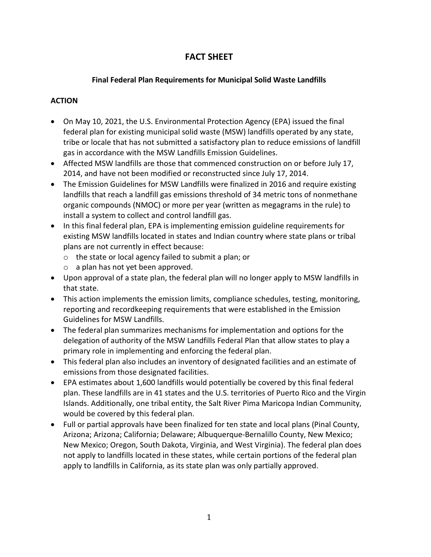# **FACT SHEET**

### **Final Federal Plan Requirements for Municipal Solid Waste Landfills**

### **ACTION**

- On May 10, 2021, the U.S. Environmental Protection Agency (EPA) issued the final federal plan for existing municipal solid waste (MSW) landfills operated by any state, tribe or locale that has not submitted a satisfactory plan to reduce emissions of landfill gas in accordance with the MSW Landfills Emission Guidelines.
- Affected MSW landfills are those that commenced construction on or before July 17, 2014, and have not been modified or reconstructed since July 17, 2014.
- The Emission Guidelines for MSW Landfills were finalized in 2016 and require existing landfills that reach a landfill gas emissions threshold of 34 metric tons of nonmethane organic compounds (NMOC) or more per year (written as megagrams in the rule) to install a system to collect and control landfill gas.
- In this final federal plan, EPA is implementing emission guideline requirements for existing MSW landfills located in states and Indian country where state plans or tribal plans are not currently in effect because:
	- o the state or local agency failed to submit a plan; or
	- o a plan has not yet been approved.
- Upon approval of a state plan, the federal plan will no longer apply to MSW landfills in that state.
- This action implements the emission limits, compliance schedules, testing, monitoring, reporting and recordkeeping requirements that were established in the Emission Guidelines for MSW Landfills.
- The federal plan summarizes mechanisms for implementation and options for the delegation of authority of the MSW Landfills Federal Plan that allow states to play a primary role in implementing and enforcing the federal plan.
- This federal plan also includes an inventory of designated facilities and an estimate of emissions from those designated facilities.
- EPA estimates about 1,600 landfills would potentially be covered by this final federal plan. These landfills are in 41 states and the U.S. territories of Puerto Rico and the Virgin Islands. Additionally, one tribal entity, the Salt River Pima Maricopa Indian Community, would be covered by this federal plan.
- Full or partial approvals have been finalized for ten state and local plans (Pinal County, Arizona; Arizona; California; Delaware; Albuquerque-Bernalillo County, New Mexico; New Mexico; Oregon, South Dakota, Virginia, and West Virginia). The federal plan does not apply to landfills located in these states, while certain portions of the federal plan apply to landfills in California, as its state plan was only partially approved.